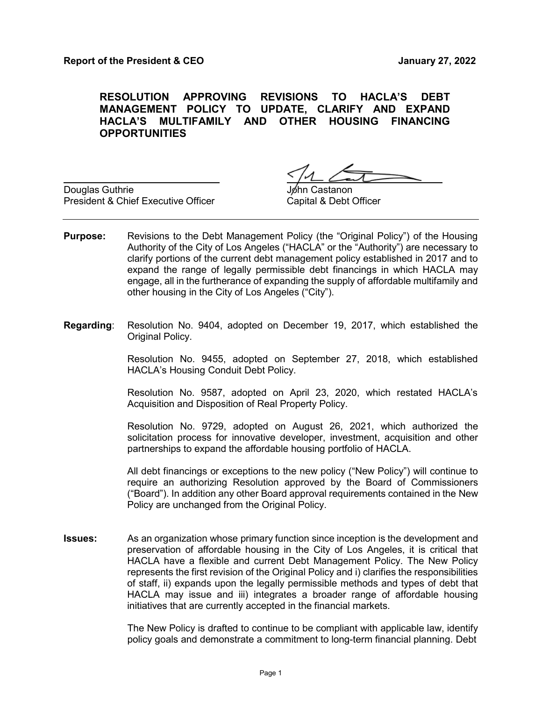**RESOLUTION APPROVING REVISIONS TO HACLA'S DEBT MANAGEMENT POLICY TO UPDATE, CLARIFY AND EXPAND HACLA'S MULTIFAMILY AND OTHER HOUSING FINANCING OPPORTUNITIES**

Douglas Guthrie President & Chief Executive Officer

าท Castanon Capital & Debt Officer

- **Purpose:** Revisions to the Debt Management Policy (the "Original Policy") of the Housing Authority of the City of Los Angeles ("HACLA" or the "Authority") are necessary to clarify portions of the current debt management policy established in 2017 and to expand the range of legally permissible debt financings in which HACLA may engage, all in the furtherance of expanding the supply of affordable multifamily and other housing in the City of Los Angeles ("City").
- **Regarding**: Resolution No. 9404, adopted on December 19, 2017, which established the Original Policy.

Resolution No. 9455, adopted on September 27, 2018, which established HACLA's Housing Conduit Debt Policy.

Resolution No. 9587, adopted on April 23, 2020, which restated HACLA's Acquisition and Disposition of Real Property Policy.

Resolution No. 9729, adopted on August 26, 2021, which authorized the solicitation process for innovative developer, investment, acquisition and other partnerships to expand the affordable housing portfolio of HACLA.

All debt financings or exceptions to the new policy ("New Policy") will continue to require an authorizing Resolution approved by the Board of Commissioners ("Board"). In addition any other Board approval requirements contained in the New Policy are unchanged from the Original Policy.

**Issues:** As an organization whose primary function since inception is the development and preservation of affordable housing in the City of Los Angeles, it is critical that HACLA have a flexible and current Debt Management Policy. The New Policy represents the first revision of the Original Policy and i) clarifies the responsibilities of staff, ii) expands upon the legally permissible methods and types of debt that HACLA may issue and iii) integrates a broader range of affordable housing initiatives that are currently accepted in the financial markets.

> The New Policy is drafted to continue to be compliant with applicable law, identify policy goals and demonstrate a commitment to long-term financial planning. Debt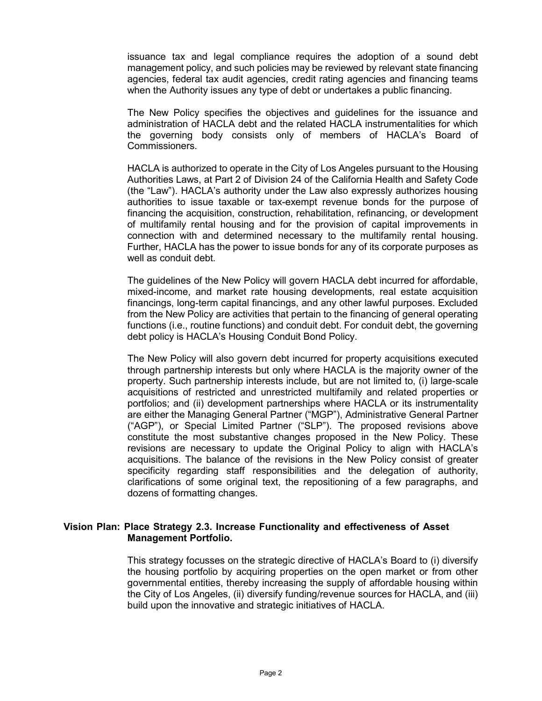issuance tax and legal compliance requires the adoption of a sound debt management policy, and such policies may be reviewed by relevant state financing agencies, federal tax audit agencies, credit rating agencies and financing teams when the Authority issues any type of debt or undertakes a public financing.

The New Policy specifies the objectives and guidelines for the issuance and administration of HACLA debt and the related HACLA instrumentalities for which the governing body consists only of members of HACLA's Board of Commissioners.

HACLA is authorized to operate in the City of Los Angeles pursuant to the Housing Authorities Laws, at Part 2 of Division 24 of the California Health and Safety Code (the "Law"). HACLA's authority under the Law also expressly authorizes housing authorities to issue taxable or tax-exempt revenue bonds for the purpose of financing the acquisition, construction, rehabilitation, refinancing, or development of multifamily rental housing and for the provision of capital improvements in connection with and determined necessary to the multifamily rental housing. Further, HACLA has the power to issue bonds for any of its corporate purposes as well as conduit debt.

The guidelines of the New Policy will govern HACLA debt incurred for affordable, mixed-income, and market rate housing developments, real estate acquisition financings, long-term capital financings, and any other lawful purposes. Excluded from the New Policy are activities that pertain to the financing of general operating functions (i.e., routine functions) and conduit debt. For conduit debt, the governing debt policy is HACLA's Housing Conduit Bond Policy.

The New Policy will also govern debt incurred for property acquisitions executed through partnership interests but only where HACLA is the majority owner of the property. Such partnership interests include, but are not limited to, (i) large-scale acquisitions of restricted and unrestricted multifamily and related properties or portfolios; and (ii) development partnerships where HACLA or its instrumentality are either the Managing General Partner ("MGP"), Administrative General Partner ("AGP"), or Special Limited Partner ("SLP"). The proposed revisions above constitute the most substantive changes proposed in the New Policy. These revisions are necessary to update the Original Policy to align with HACLA's acquisitions. The balance of the revisions in the New Policy consist of greater specificity regarding staff responsibilities and the delegation of authority, clarifications of some original text, the repositioning of a few paragraphs, and dozens of formatting changes.

#### **Vision Plan: Place Strategy 2.3. Increase Functionality and effectiveness of Asset Management Portfolio.**

This strategy focusses on the strategic directive of HACLA's Board to (i) diversify the housing portfolio by acquiring properties on the open market or from other governmental entities, thereby increasing the supply of affordable housing within the City of Los Angeles, (ii) diversify funding/revenue sources for HACLA, and (iii) build upon the innovative and strategic initiatives of HACLA.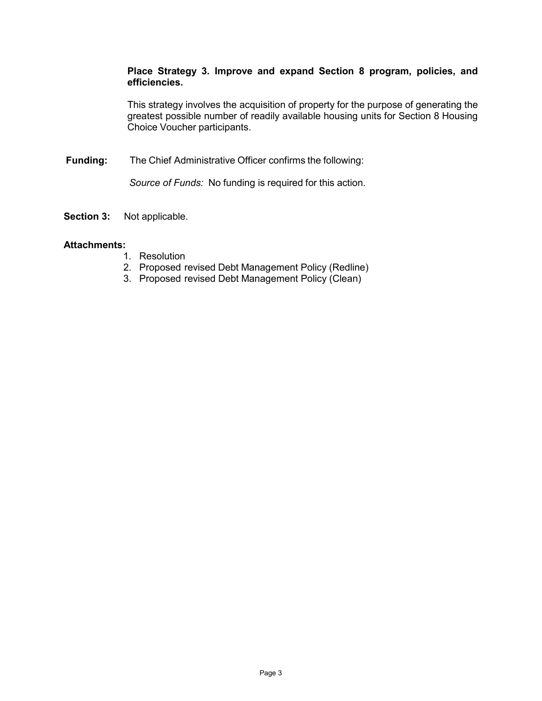#### **Place Strategy 3. Improve and expand Section 8 program, policies, and efficiencies.**

This strategy involves the acquisition of property for the purpose of generating the greatest possible number of readily available housing units for Section 8 Housing Choice Voucher participants.

**Funding:** The Chief Administrative Officer confirms the following:

*Source of Funds:* No funding is required for this action.

**Section 3:** Not applicable.

#### **Attachments:**

- 1. Resolution
- 2. Proposed revised Debt Management Policy (Redline)
- 3. Proposed revised Debt Management Policy (Clean)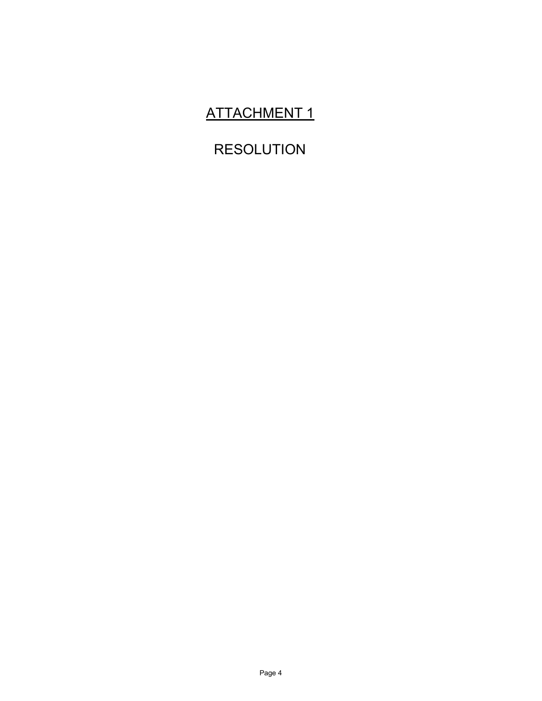# ATTACHMENT 1

# RESOLUTION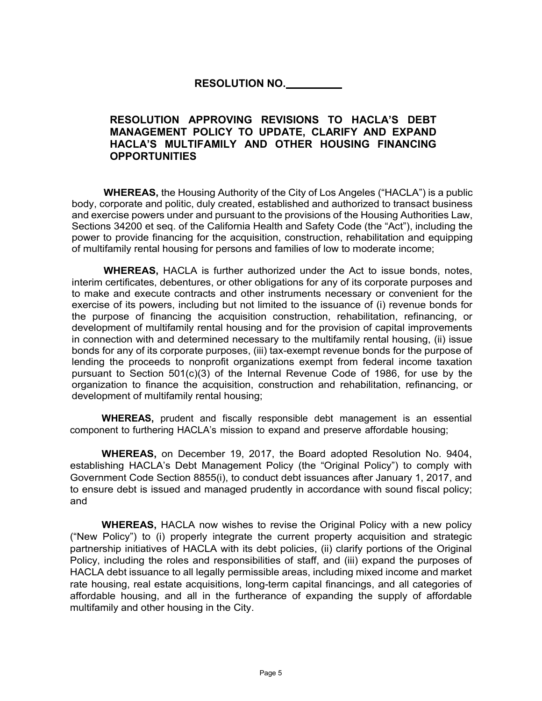### **RESOLUTION NO.**

#### **RESOLUTION APPROVING REVISIONS TO HACLA'S DEBT MANAGEMENT POLICY TO UPDATE, CLARIFY AND EXPAND HACLA'S MULTIFAMILY AND OTHER HOUSING FINANCING OPPORTUNITIES**

**WHEREAS,** the Housing Authority of the City of Los Angeles ("HACLA") is a public body, corporate and politic, duly created, established and authorized to transact business and exercise powers under and pursuant to the provisions of the Housing Authorities Law, Sections 34200 et seq. of the California Health and Safety Code (the "Act"), including the power to provide financing for the acquisition, construction, rehabilitation and equipping of multifamily rental housing for persons and families of low to moderate income;

**WHEREAS,** HACLA is further authorized under the Act to issue bonds, notes, interim certificates, debentures, or other obligations for any of its corporate purposes and to make and execute contracts and other instruments necessary or convenient for the exercise of its powers, including but not limited to the issuance of (i) revenue bonds for the purpose of financing the acquisition construction, rehabilitation, refinancing, or development of multifamily rental housing and for the provision of capital improvements in connection with and determined necessary to the multifamily rental housing, (ii) issue bonds for any of its corporate purposes, (iii) tax-exempt revenue bonds for the purpose of lending the proceeds to nonprofit organizations exempt from federal income taxation pursuant to Section 501(c)(3) of the Internal Revenue Code of 1986, for use by the organization to finance the acquisition, construction and rehabilitation, refinancing, or development of multifamily rental housing;

**WHEREAS,** prudent and fiscally responsible debt management is an essential component to furthering HACLA's mission to expand and preserve affordable housing;

**WHEREAS,** on December 19, 2017, the Board adopted Resolution No. 9404, establishing HACLA's Debt Management Policy (the "Original Policy") to comply with Government Code Section 8855(i), to conduct debt issuances after January 1, 2017, and to ensure debt is issued and managed prudently in accordance with sound fiscal policy; and

**WHEREAS,** HACLA now wishes to revise the Original Policy with a new policy ("New Policy") to (i) properly integrate the current property acquisition and strategic partnership initiatives of HACLA with its debt policies, (ii) clarify portions of the Original Policy, including the roles and responsibilities of staff, and (iii) expand the purposes of HACLA debt issuance to all legally permissible areas, including mixed income and market rate housing, real estate acquisitions, long-term capital financings, and all categories of affordable housing, and all in the furtherance of expanding the supply of affordable multifamily and other housing in the City.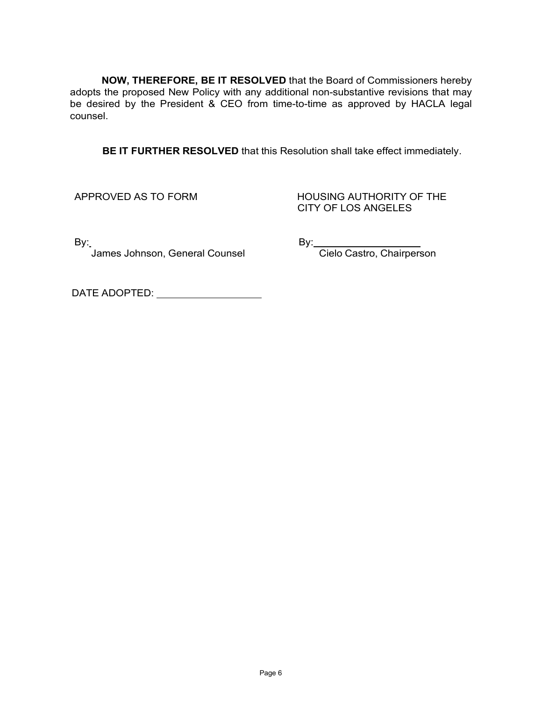**NOW, THEREFORE, BE IT RESOLVED** that the Board of Commissioners hereby adopts the proposed New Policy with any additional non-substantive revisions that may be desired by the President & CEO from time-to-time as approved by HACLA legal counsel.

**BE IT FURTHER RESOLVED** that this Resolution shall take effect immediately.

APPROVED AS TO FORM HOUSING AUTHORITY OF THE CITY OF LOS ANGELES

By: By: -<br>James Johnson, General Counsel Counser Cielo Castro, Chairperson

DATE ADOPTED: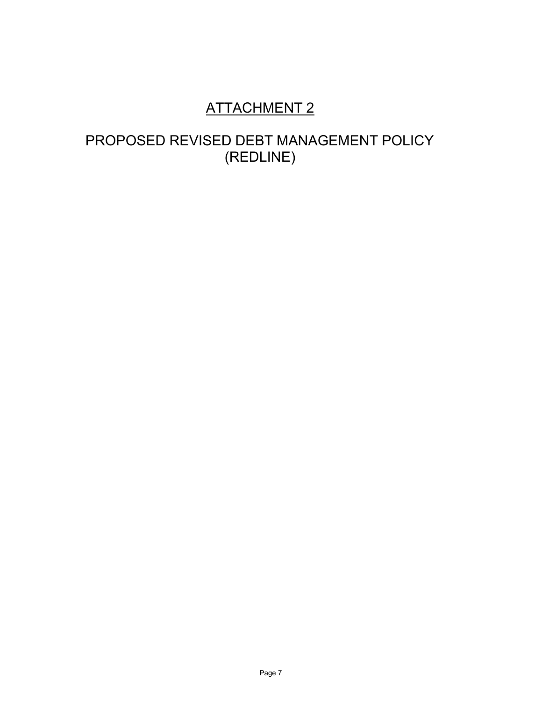# ATTACHMENT 2

# PROPOSED REVISED DEBT MANAGEMENT POLICY (REDLINE)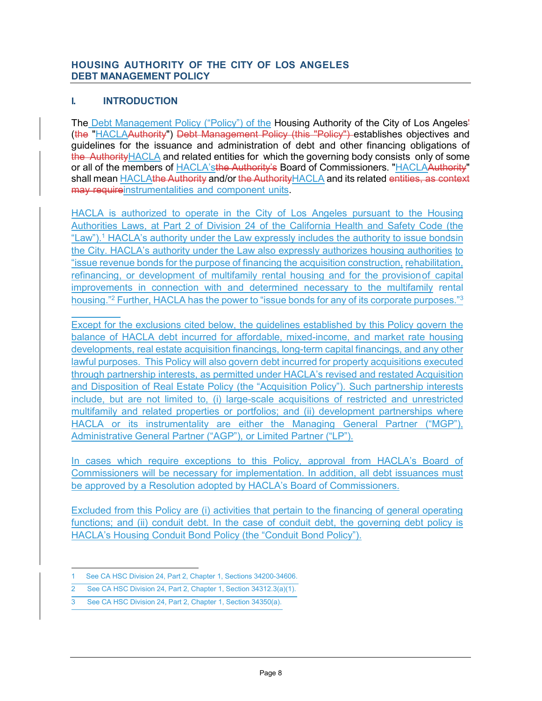#### **HOUSING AUTHORITY OF THE CITY OF LOS ANGELES DEBT MANAGEMENT POLICY**

#### **I. INTRODUCTION**

The Debt Management Policy ("Policy") of the Housing Authority of the City of Los Angeles-(the "HACLAAuthority") Debt Management Policy (this "Policy") establishes objectives and guidelines for the issuance and administration of debt and other financing obligations of the AuthorityHACLA and related entities for which the governing body consists only of some or all of the members of HACLA'sthe Authority's Board of Commissioners. "HACLAAuthority" shall mean HACLAthe Authority and/or the AuthorityHACLA and its related entities, as context may requireinstrumentalities and component units.

HACLA is authorized to operate in the City of Los Angeles pursuant to the Housing Authorities Laws, at Part 2 of Division 24 of the California Health and Safety Code (the "Law").<sup>1</sup> HACLA's authority under the Law expressly includes the authority to issue bondsin the City. HACLA's authority under the Law also expressly authorizes housing authorities to "issue revenue bonds for the purpose of financing the acquisition construction, rehabilitation, refinancing, or development of multifamily rental housing and for the provisionof capital improvements in connection with and determined necessary to the multifamily rental housing."<sup>2</sup> Further, HACLA has the power to "issue bonds for any of its corporate purposes."<sup>3</sup>

Except for the exclusions cited below, the guidelines established by this Policy govern the balance of HACLA debt incurred for affordable, mixed-income, and market rate housing developments, real estate acquisition financings, long-term capital financings, and any other lawful purposes. This Policy will also govern debt incurred for property acquisitions executed through partnership interests, as permitted under HACLA's revised and restated Acquisition and Disposition of Real Estate Policy (the "Acquisition Policy"). Such partnership interests include, but are not limited to, (i) large-scale acquisitions of restricted and unrestricted multifamily and related properties or portfolios; and (ii) development partnerships where HACLA or its instrumentality are either the Managing General Partner ("MGP"), Administrative General Partner ("AGP"), or Limited Partner ("LP").

In cases which require exceptions to this Policy, approval from HACLA's Board of Commissioners will be necessary for implementation. In addition, all debt issuances must be approved by a Resolution adopted by HACLA's Board of Commissioners.

Excluded from this Policy are (i) activities that pertain to the financing of general operating functions; and (ii) conduit debt. In the case of conduit debt, the governing debt policy is HACLA's Housing Conduit Bond Policy (the "Conduit Bond Policy").

<sup>1</sup> See CA HSC Division 24, Part 2, Chapter 1, Sections 34200-34606.

See CA HSC Division 24, Part 2, Chapter 1, Section 34312.3(a)(1).

See CA HSC Division 24, Part 2, Chapter 1, Section 34350(a).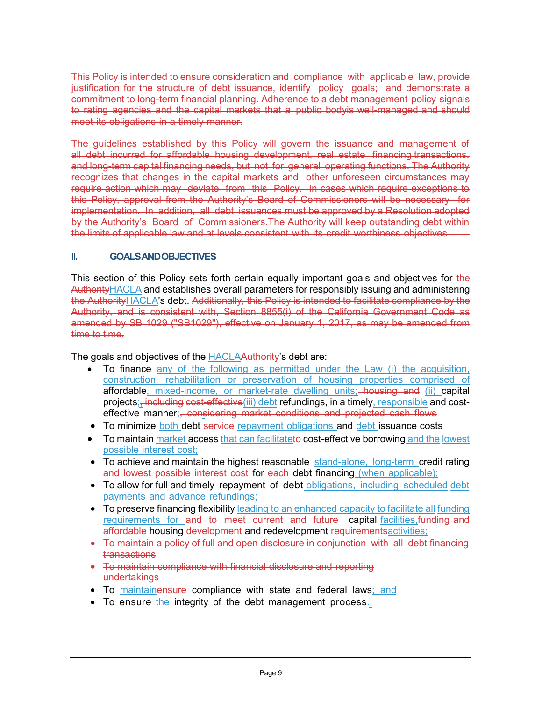This Policy is intended to ensure consideration and compliance with applicable law, provide justification for the structure of debt issuance, identify policy goals; and demonstrate a commitment to long-term financial planning. Adherence to a debt management policy signals to rating agencies and the capital markets that a public bodyis well-managed and should meet its obligations in a timely manner.

The guidelines established by this Policy will govern the issuance and management of all debt incurred for affordable housing development, real estate financing transactions, and long-term capital financing needs, but not for general operating functions. The Authority recognizes that changes in the capital markets and other unforeseen circumstances may require action which may deviate from this Policy. In cases which require exceptions to this Policy, approval from the Authority's Board of Commissioners will be necessary for implementation. In addition, all debt issuances must be approved by a Resolution adopted by the Authority's Board of Commissioners.The Authority will keep outstanding debt within the limits of applicable law and at levels consistent with its credit worthiness objectives.

#### **II. GOALSANDOBJECTIVES**

This section of this Policy sets forth certain equally important goals and objectives for the AuthorityHACLA and establishes overall parameters for responsibly issuing and administering the AuthorityHACLA's debt. Additionally, this Policy is intended to facilitate compliance by the Authority, and is consistent with, Section 8855(i) of the California Government Code as amended by SB 1029 ("SB1029"), effective on January 1, 2017, as may be amended from time to time.

The goals and objectives of the HACLAAuthority's debt are:

- To finance any of the following as permitted under the Law (i) the acquisition, construction, rehabilitation or preservation of housing properties comprised of affordable, mixed-income, or market-rate dwelling units; housing and (ii) capital projects;<sub>i</sub> including cost-effective(iii) debt refundings, in a timely, responsible and costeffective manner;, considering market conditions and projected cash flows
- To minimize both debt service-repayment obligations and debt issuance costs
- To maintain market access that can facilitateto cost-effective borrowing and the lowest possible interest cost;
- To achieve and maintain the highest reasonable stand-alone, long-term credit rating and lowest possible interest cost for each debt financing (when applicable);
- To allow for full and timely repayment of debt obligations, including scheduled debt payments and advance refundings;
- To preserve financing flexibility leading to an enhanced capacity to facilitate all funding requirements for and to meet current and future capital facilities,funding and affordable housing development and redevelopment requirements activities;
- To maintain a policy of full and open disclosure in conjunction with all debt financing transactions
- To maintain compliance with financial disclosure and reporting undertakings
- To maintainensure compliance with state and federal laws; and
- To ensure the integrity of the debt management process.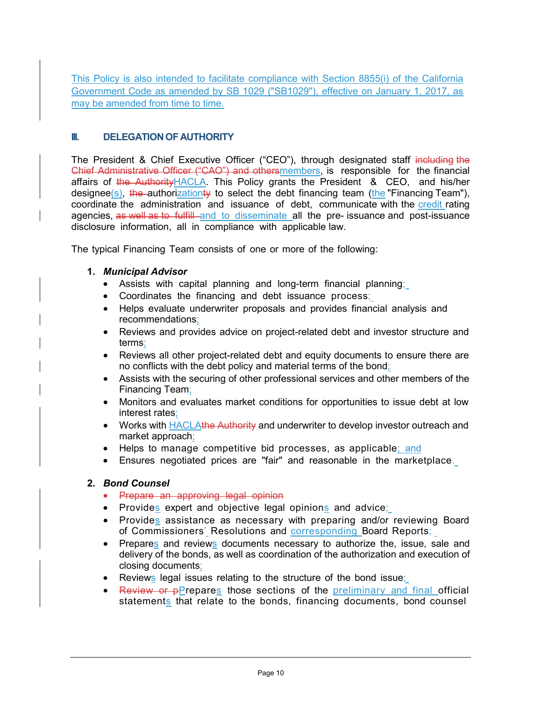This Policy is also intended to facilitate compliance with Section 8855(i) of the California Government Code as amended by SB 1029 ("SB1029"), effective on January 1, 2017, as may be amended from time to time.

#### **III. DELEGATION OF AUTHORITY**

The President & Chief Executive Officer ("CEO"), through designated staff including the Chief Administrative Officer ("CAO") and othersmembers, is responsible for the financial affairs of the Authority HACLA. This Policy grants the President & CEO, and his/her designee(s), the authorizationty to select the debt financing team (the "Financing Team"), coordinate the administration and issuance of debt, communicate with the credit rating agencies, as well as to fulfill and to disseminate all the pre- issuance and post-issuance disclosure information, all in compliance with applicable law.

The typical Financing Team consists of one or more of the following:

#### **1.** *Municipal Advisor*

- Assists with capital planning and long-term financial planning;
- Coordinates the financing and debt issuance process;
- Helps evaluate underwriter proposals and provides financial analysis and recommendations;
- Reviews and provides advice on project-related debt and investor structure and terms;
- Reviews all other project-related debt and equity documents to ensure there are no conflicts with the debt policy and material terms of the bond;
- Assists with the securing of other professional services and other members of the Financing Team;
- Monitors and evaluates market conditions for opportunities to issue debt at low interest rates;
- Works with HACLAthe Authority and underwriter to develop investor outreach and market approach;
- Helps to manage competitive bid processes, as applicable; and
- Ensures negotiated prices are "fair" and reasonable in the marketplace.

#### **2.** *Bond Counsel*

- Prepare an approving legal opinion
- Provides expert and objective legal opinions and advice;
- Provides assistance as necessary with preparing and/or reviewing Board of Commissioners' Resolutions and corresponding Board Reports;
- Prepares and reviews documents necessary to authorize the, issue, sale and delivery of the bonds, as well as coordination of the authorization and execution of closing documents;
- Reviews legal issues relating to the structure of the bond issue;
- Review or pPrepares those sections of the preliminary and final official statements that relate to the bonds, financing documents, bond counsel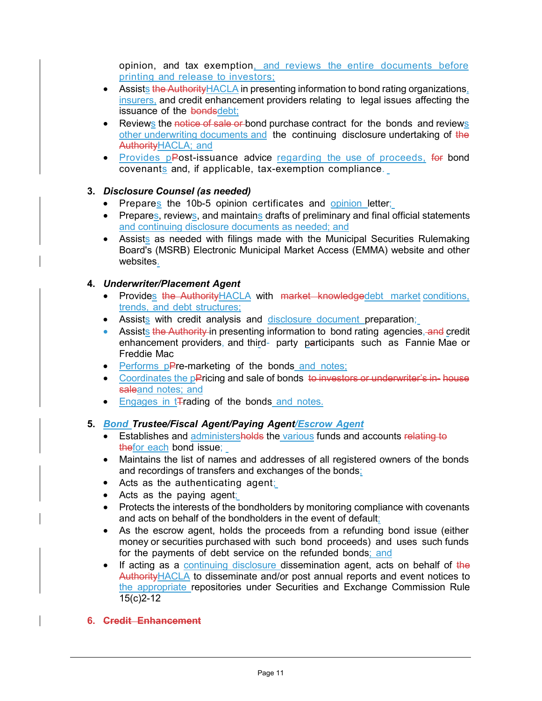opinion, and tax exemption, and reviews the entire documents before printing and release to investors;

- Assists the Authority HACLA in presenting information to bond rating organizations, insurers, and credit enhancement providers relating to legal issues affecting the issuance of the bondsdebt;
- Reviews the notice of sale or bond purchase contract for the bonds and reviews other underwriting documents and the continuing disclosure undertaking of the AuthorityHACLA; and
- Provides pPost-issuance advice regarding the use of proceeds, for bond covenants and, if applicable, tax-exemption compliance.

#### **3.** *Disclosure Counsel (as needed)*

- Prepares the 10b-5 opinion certificates and opinion letter;
- Prepares, reviews, and maintains drafts of preliminary and final official statements and continuing disclosure documents as needed; and
- Assists as needed with filings made with the Municipal Securities Rulemaking Board's (MSRB) Electronic Municipal Market Access (EMMA) website and other websites.

#### **4.** *Underwriter/Placement Agent*

- Provides the Authority HACLA with market knowledgedebt market conditions, trends, and debt structures;
- Assists with credit analysis and disclosure document preparation;
- Assists the Authority in presenting information to bond rating agencies, and credit enhancement providers, and third- party participants such as Fannie Mae or Freddie Mac
- Performs pPre-marketing of the bonds and notes;
- Coordinates the pPricing and sale of bonds to investors or underwriter's in- house saleand notes; and
- Engages in t<sub>rading</sub> of the bonds and notes.

#### **5.** *Bond Trustee/Fiscal Agent/Paying Agent/Escrow Agent*

- Establishes and administersholds the various funds and accounts relating to thefor each bond issue;
- Maintains the list of names and addresses of all registered owners of the bonds and recordings of transfers and exchanges of the bonds;
- Acts as the authenticating agent;
- Acts as the paying agent;
- Protects the interests of the bondholders by monitoring compliance with covenants and acts on behalf of the bondholders in the event of default;
- As the escrow agent, holds the proceeds from a refunding bond issue (either money or securities purchased with such bond proceeds) and uses such funds for the payments of debt service on the refunded bonds; and
- If acting as a continuing disclosure dissemination agent, acts on behalf of the AuthorityHACLA to disseminate and/or post annual reports and event notices to the appropriate repositories under Securities and Exchange Commission Rule 15(c)2-12

#### **6. Credit Enhancement**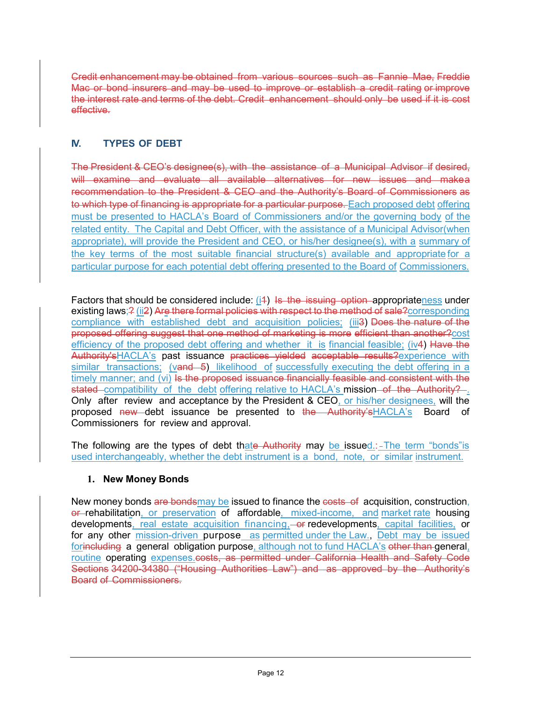Credit enhancement may be obtained from various sources such as Fannie Mae, Freddie Mac or bond insurers and may be used to improve or establish a credit rating or improve the interest rate and terms of the debt. Credit enhancement should only be used if it is cost effective.

### **IV. TYPES OF DEBT**

The President & CEO's designee(s), with the assistance of a Municipal Advisor if desired, will examine and evaluate all available alternatives for new issues and makea recommendation to the President & CEO and the Authority's Board of Commissioners as to which type of financing is appropriate for a particular purpose. Each proposed debt offering must be presented to HACLA's Board of Commissioners and/or the governing body of the related entity. The Capital and Debt Officer, with the assistance of a Municipal Advisor(when appropriate), will provide the President and CEO, or his/her designee(s), with a summary of the key terms of the most suitable financial structure(s) available and appropriate for a particular purpose for each potential debt offering presented to the Board of Commissioners.

Factors that should be considered include:  $(i4)$  Is the issuing option appropriateness under existing laws;? (ii2) Are there formal policies with respect to the method of sale?corresponding compliance with established debt and acquisition policies; (iii3) Does the nature of the proposed offering suggest that one method of marketing is more efficient than another?cost efficiency of the proposed debt offering and whether it is financial feasible; (iv4) Have the Authority'sHACLA's past issuance practices yielded acceptable results?experience with similar transactions; (vand 5) likelihood of successfully executing the debt offering in a timely manner; and (vi) Is the proposed issuance financially feasible and consistent with the stated compatibility of the debt offering relative to HACLA's mission of the Authority? Only after review and acceptance by the President & CEO, or his/her designees, will the proposed new debt issuance be presented to the Authority'sHACLA's Board of Commissioners for review and approval.

The following are the types of debt thate Authority may be issued.:-The term "bonds" is used interchangeably, whether the debt instrument is a bond, note, or similar instrument.

#### **1. New Money Bonds**

New money bonds are bondsmay be issued to finance the costs of acquisition, construction, or rehabilitation, or preservation of affordable, mixed-income, and market rate housing developments, real estate acquisition financing,-or redevelopments, capital facilities, or for any other mission-driven purpose\_as permitted under the Law., Debt may be issued forincluding a general obligation purpose, although not to fund HACLA's other than general, routine operating expenses.costs, as permitted under California Health and Safety Code Sections 34200-34380 ("Housing Authorities Law") and as approved by the Authority's Board of Commissioners.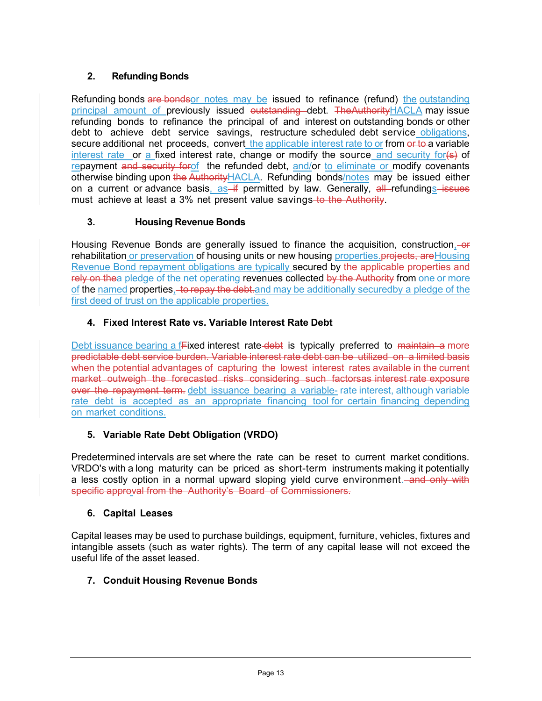#### **2. Refunding Bonds**

Refunding bonds are bonds or notes may be issued to refinance (refund) the outstanding principal amount of previously issued outstanding debt. The Authority HACLA may issue refunding bonds to refinance the principal of and interest on outstanding bonds or other debt to achieve debt service savings, restructure scheduled debt service obligations, secure additional net proceeds, convert the applicable interest rate to or from or to a variable interest rate or a fixed interest rate, change or modify the source and security for(s) of repayment and security for the refunded debt, and/or to eliminate or modify covenants otherwise binding upon the Authority HACLA. Refunding bonds/notes may be issued either on a current or advance basis,  $as - if$  permitted by law. Generally,  $al$  refundings issues must achieve at least a 3% net present value savings-to the Authority.

#### **3. Housing Revenue Bonds**

Housing Revenue Bonds are generally issued to finance the acquisition, construction, our rehabilitation or preservation of housing units or new housing properties. projects, are Housing Revenue Bond repayment obligations are typically secured by the applicable properties and rely on thea pledge of the net operating revenues collected by the Authority from one or more of the named properties, to repay the debt, and may be additionally securedby a pledge of the first deed of trust on the applicable properties.

#### **4. Fixed Interest Rate vs. Variable Interest Rate Debt**

Debt issuance bearing a fFixed interest rate debt is typically preferred to maintain a more predictable debt service burden. Variable interest rate debt can be utilized on a limited basis when the potential advantages of capturing the lowest interest rates available in the current market outweigh the forecasted risks considering such factorsas interest rate exposure over the repayment term, debt issuance bearing a variable- rate interest, although variable rate debt is accepted as an appropriate financing tool for certain financing depending on market conditions.

#### **5. Variable Rate Debt Obligation (VRDO)**

Predetermined intervals are set where the rate can be reset to current market conditions. VRDO's with a long maturity can be priced as short-term instruments making it potentially a less costly option in a normal upward sloping yield curve environment. and only with specific approval from the Authority's Board of Commissioners.

#### **6. Capital Leases**

Capital leases may be used to purchase buildings, equipment, furniture, vehicles, fixtures and intangible assets (such as water rights). The term of any capital lease will not exceed the useful life of the asset leased.

#### **7. Conduit Housing Revenue Bonds**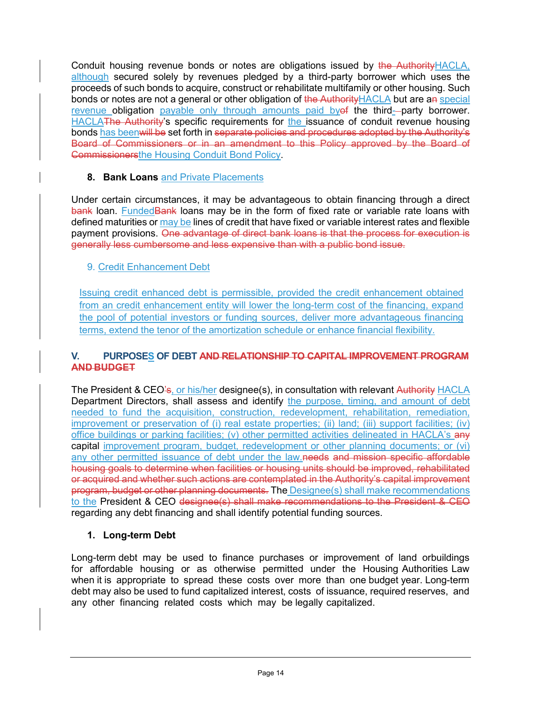Conduit housing revenue bonds or notes are obligations issued by the Authority HACLA, although secured solely by revenues pledged by a third-party borrower which uses the proceeds of such bonds to acquire, construct or rehabilitate multifamily or other housing. Such bonds or notes are not a general or other obligation of the Authority HACLA but are an special revenue obligation payable only through amounts paid by of the third-party borrower. HACLAThe Authority's specific requirements for the issuance of conduit revenue housing bonds has beenwill be set forth in separate policies and procedures adopted by the Authority's Board of Commissioners or in an amendment to this Policy approved by the Board of Commissionersthe Housing Conduit Bond Policy.

#### **8. Bank Loans** and Private Placements

Under certain circumstances, it may be advantageous to obtain financing through a direct bank loan. Funded Bank loans may be in the form of fixed rate or variable rate loans with defined maturities or may be lines of credit that have fixed or variable interest rates and flexible payment provisions. One advantage of direct bank loans is that the process for execution is generally less cumbersome and less expensive than with a public bond issue.

#### 9. Credit Enhancement Debt

Issuing credit enhanced debt is permissible, provided the credit enhancement obtained from an credit enhancement entity will lower the long-term cost of the financing, expand the pool of potential investors or funding sources, deliver more advantageous financing terms, extend the tenor of the amortization schedule or enhance financial flexibility.

#### **V. PURPOSES OF DEBT AND RELATIONSHIP TO CAPITAL IMPROVEMENT PROGRAM AND BUDGET**

The President & CEO's, or his/her designee(s), in consultation with relevant Authority HACLA Department Directors, shall assess and identify the purpose, timing, and amount of debt needed to fund the acquisition, construction, redevelopment, rehabilitation, remediation, improvement or preservation of (i) real estate properties; (ii) land; (iii) support facilities; (iv) office buildings or parking facilities; (v) other permitted activities delineated in HACLA's any capital improvement program, budget, redevelopment or other planning documents; or (vi) any other permitted issuance of debt under the law.needs and mission specific affordable housing goals to determine when facilities or housing units should be improved, rehabilitated or acquired and whether such actions are contemplated in the Authority's capital improvement program, budget or other planning documents. The Designee(s) shall make recommendations to the President & CEO designee(s) shall make recommendations to the President & CEO regarding any debt financing and shall identify potential funding sources.

#### **1. Long-term Debt**

Long-term debt may be used to finance purchases or improvement of land orbuildings for affordable housing or as otherwise permitted under the Housing Authorities Law when it is appropriate to spread these costs over more than one budget year. Long-term debt may also be used to fund capitalized interest, costs of issuance, required reserves, and any other financing related costs which may be legally capitalized.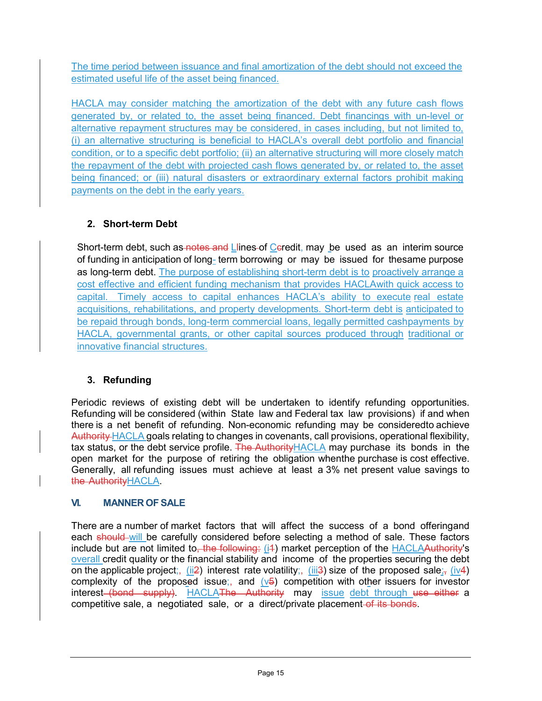The time period between issuance and final amortization of the debt should not exceed the estimated useful life of the asset being financed.

HACLA may consider matching the amortization of the debt with any future cash flows generated by, or related to, the asset being financed. Debt financings with un-level or alternative repayment structures may be considered, in cases including, but not limited to, (i) an alternative structuring is beneficial to HACLA's overall debt portfolio and financial condition, or to a specific debt portfolio; (ii) an alternative structuring will more closely match the repayment of the debt with projected cash flows generated by, or related to, the asset being financed; or (iii) natural disasters or extraordinary external factors prohibit making payments on the debt in the early years.

### **2. Short-term Debt**

Short-term debt, such as notes and Llines-of Ceredit, may be used as an interim source of funding in anticipation of long- term borrowing or may be issued for thesame purpose as long-term debt. The purpose of establishing short-term debt is to proactively arrange a cost effective and efficient funding mechanism that provides HACLAwith quick access to capital. Timely access to capital enhances HACLA's ability to execute real estate acquisitions, rehabilitations, and property developments. Short-term debt is anticipated to be repaid through bonds, long-term commercial loans, legally permitted cashpayments by HACLA, governmental grants, or other capital sources produced through traditional or innovative financial structures.

## **3. Refunding**

Periodic reviews of existing debt will be undertaken to identify refunding opportunities. Refunding will be considered (within State law and Federal tax law provisions) if and when there is a net benefit of refunding. Non-economic refunding may be consideredto achieve Authority HACLA goals relating to changes in covenants, call provisions, operational flexibility, tax status, or the debt service profile. The Authority HACLA may purchase its bonds in the open market for the purpose of retiring the obligation whenthe purchase is cost effective. Generally, all refunding issues must achieve at least a 3% net present value savings to the AuthorityHACLA.

### **VI. MANNER OF SALE**

There are a number of market factors that will affect the success of a bond offeringand each should will be carefully considered before selecting a method of sale. These factors include but are not limited to, the following: (i4) market perception of the HACLAAuthority's overall credit quality or the financial stability and income of the properties securing the debt on the applicable project;, (ii2) interest rate volatility;, (iii3) size of the proposed sale;, (iv4) complexity of the proposed issue;, and  $(v5)$  competition with other issuers for investor interest (bond supply). HACLAThe Authority may issue debt through use either a competitive sale, a negotiated sale, or a direct/private placement of its bonds.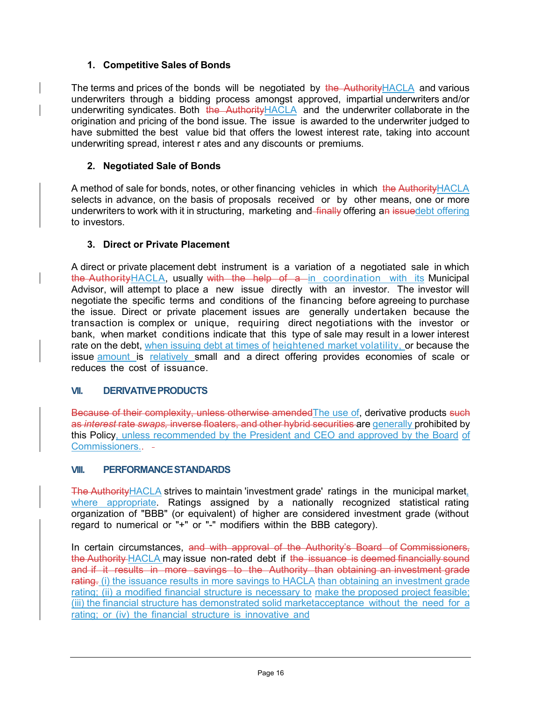#### **1. Competitive Sales of Bonds**

The terms and prices of the bonds will be negotiated by the Authority HACLA and various underwriters through a bidding process amongst approved, impartial underwriters and/or underwriting syndicates. Both the Authority HACLA and the underwriter collaborate in the origination and pricing of the bond issue. The issue is awarded to the underwriter judged to have submitted the best value bid that offers the lowest interest rate, taking into account underwriting spread, interest r ates and any discounts or premiums.

#### **2. Negotiated Sale of Bonds**

A method of sale for bonds, notes, or other financing vehicles in which the Authority HACLA selects in advance, on the basis of proposals received or by other means, one or more underwriters to work with it in structuring, marketing and finally offering an issuedebt offering to investors.

#### **3. Direct or Private Placement**

A direct or private placement debt instrument is a variation of a negotiated sale in which the Authority HACLA, usually with the help of a in coordination with its Municipal Advisor, will attempt to place a new issue directly with an investor. The investor will negotiate the specific terms and conditions of the financing before agreeing to purchase the issue. Direct or private placement issues are generally undertaken because the transaction is complex or unique, requiring direct negotiations with the investor or bank, when market conditions indicate that this type of sale may result in a lower interest rate on the debt, when issuing debt at times of heightened market volatility, or because the issue amount is relatively small and a direct offering provides economies of scale or reduces the cost of issuance.

#### **VII. DERIVATIVEPRODUCTS**

Because of their complexity, unless otherwise amended The use of, derivative products such as *interest* rate *swaps,* inverse floaters, and other hybrid securities are generally prohibited by this Policy, unless recommended by the President and CEO and approved by the Board of Commissioners..

#### **VIII. PERFORMANCESTANDARDS**

The Authority HACLA strives to maintain 'investment grade' ratings in the municipal market, where appropriate. Ratings assigned by a nationally recognized statistical rating organization of "BBB" (or equivalent) of higher are considered investment grade (without regard to numerical or "+" or "-" modifiers within the BBB category).

In certain circumstances, and with approval of the Authority's Board of Commissioners. the Authority HACLA may issue non-rated debt if the issuance is deemed financially sound and if it results in more savings to the Authority than obtaining an investment grade rating. (i) the issuance results in more savings to HACLA than obtaining an investment grade rating; (ii) a modified financial structure is necessary to make the proposed project feasible; (iii) the financial structure has demonstrated solid marketacceptance without the need for a rating; or (iv) the financial structure is innovative and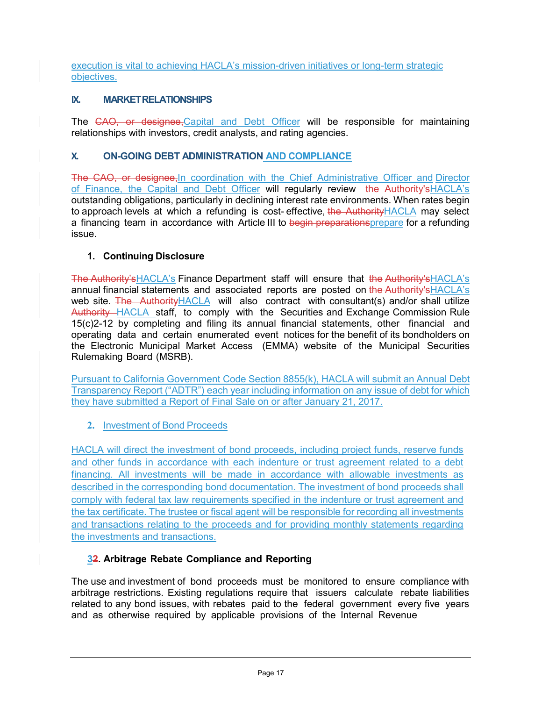execution is vital to achieving HACLA's mission-driven initiatives or long-term strategic objectives.

#### **IX. MARKETRELATIONSHIPS**

The CAO, or designee, Capital and Debt Officer will be responsible for maintaining relationships with investors, credit analysts, and rating agencies.

#### **X. ON-GOING DEBT ADMINISTRATION AND COMPLIANCE**

The CAO, or designee, In coordination with the Chief Administrative Officer and Director of Finance, the Capital and Debt Officer will regularly review the Authority'sHACLA's outstanding obligations, particularly in declining interest rate environments. When rates begin to approach levels at which a refunding is cost- effective, the AuthorityHACLA may select a financing team in accordance with Article III to begin preparationsprepare for a refunding issue.

#### **1. Continuing Disclosure**

The Authority'sHACLA's Finance Department staff will ensure that the Authority'sHACLA's annual financial statements and associated reports are posted on the Authority's HACLA's web site. The Authority HACLA will also contract with consultant(s) and/or shall utilize Authority HACLA staff, to comply with the Securities and Exchange Commission Rule 15(c)2-12 by completing and filing its annual financial statements, other financial and operating data and certain enumerated event notices for the benefit of its bondholders on the Electronic Municipal Market Access (EMMA) website of the Municipal Securities Rulemaking Board (MSRB).

Pursuant to California Government Code Section 8855(k), HACLA will submit an Annual Debt Transparency Report ("ADTR") each year including information on any issue of debt for which they have submitted a Report of Final Sale on or after January 21, 2017.

#### **2.** Investment of Bond Proceeds

HACLA will direct the investment of bond proceeds, including project funds, reserve funds and other funds in accordance with each indenture or trust agreement related to a debt financing. All investments will be made in accordance with allowable investments as described in the corresponding bond documentation. The investment of bond proceeds shall comply with federal tax law requirements specified in the indenture or trust agreement and the tax certificate. The trustee or fiscal agent will be responsible for recording all investments and transactions relating to the proceeds and for providing monthly statements regarding the investments and transactions.

#### **32. Arbitrage Rebate Compliance and Reporting**

The use and investment of bond proceeds must be monitored to ensure compliance with arbitrage restrictions. Existing regulations require that issuers calculate rebate liabilities related to any bond issues, with rebates paid to the federal government every five years and as otherwise required by applicable provisions of the Internal Revenue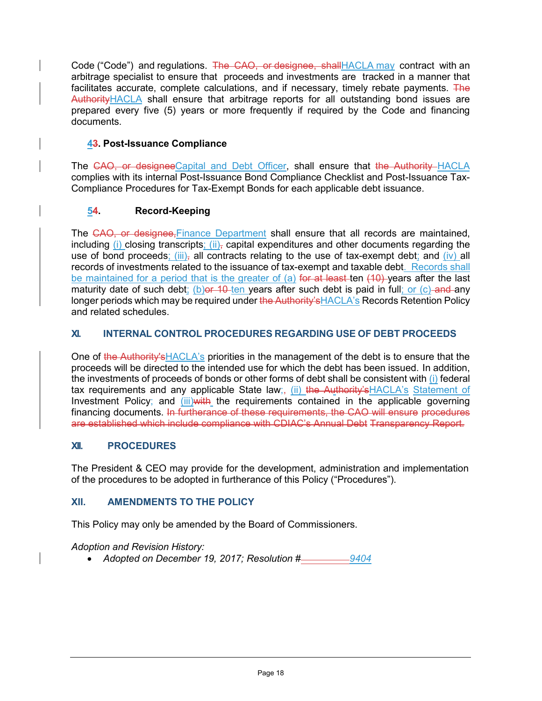Code ("Code") and regulations. The CAO, or designee, shall HACLA may contract with an arbitrage specialist to ensure that proceeds and investments are tracked in a manner that facilitates accurate, complete calculations, and if necessary, timely rebate payments. The AuthorityHACLA shall ensure that arbitrage reports for all outstanding bond issues are prepared every five (5) years or more frequently if required by the Code and financing documents.

#### **43. Post-Issuance Compliance**

The CAO, or designee Capital and Debt Officer, shall ensure that the Authority HACLA complies with its internal Post-Issuance Bond Compliance Checklist and Post-Issuance Tax-Compliance Procedures for Tax-Exempt Bonds for each applicable debt issuance.

#### **54. Record-Keeping**

The CAO, or designee, Finance Department shall ensure that all records are maintained, including (i) closing transcripts;  $(ii)$ , capital expenditures and other documents regarding the use of bond proceeds;  $(iii)$ , all contracts relating to the use of tax-exempt debt; and  $(iv)$  all records of investments related to the issuance of tax-exempt and taxable debt. Records shall be maintained for a period that is the greater of (a) for at least ten (10) years after the last maturity date of such debt; (b) or 10 ten years after such debt is paid in full; or (c) and any longer periods which may be required under the Authority's HACLA's Records Retention Policy and related schedules.

#### **XI. INTERNAL CONTROL PROCEDURES REGARDING USE OF DEBT PROCEEDS**

One of the Authority's HACLA's priorities in the management of the debt is to ensure that the proceeds will be directed to the intended use for which the debt has been issued. In addition, the investments of proceeds of bonds or other forms of debt shall be consistent with (i) federal tax requirements and any applicable State law;, (ii) the Authority'sHACLA's Statement of Investment Policy; and (iii) with the requirements contained in the applicable governing financing documents. In furtherance of these requirements, the CAO will ensure procedures are established which include compliance with CDIAC's Annual Debt Transparency Report.

#### **XII. PROCEDURES**

The President & CEO may provide for the development, administration and implementation of the procedures to be adopted in furtherance of this Policy ("Procedures").

#### **XII. AMENDMENTS TO THE POLICY**

This Policy may only be amended by the Board of Commissioners.

*Adoption and Revision History:*

• *Adopted on December 19, 2017; Resolution # 9404*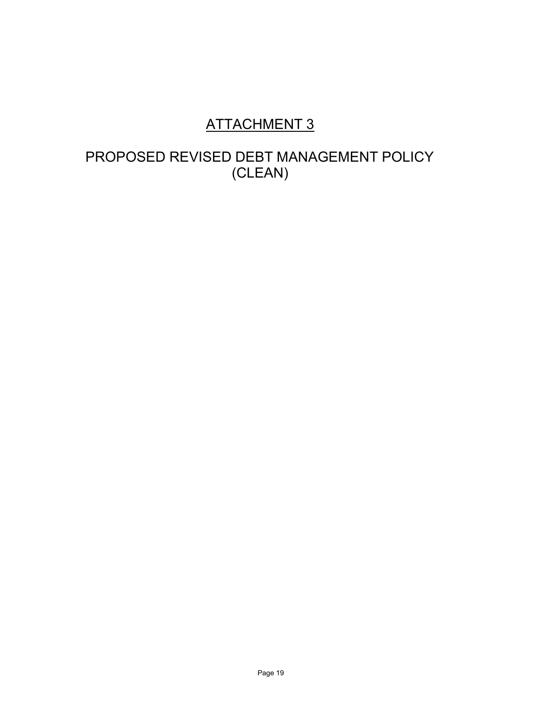# ATTACHMENT 3

# PROPOSED REVISED DEBT MANAGEMENT POLICY (CLEAN)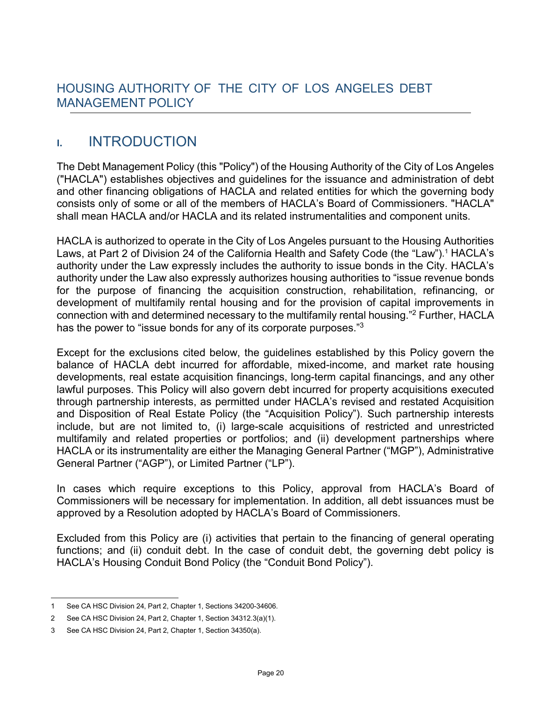## **I.** INTRODUCTION

The Debt Management Policy (this "Policy") of the Housing Authority of the City of Los Angeles ("HACLA") establishes objectives and guidelines for the issuance and administration of debt and other financing obligations of HACLA and related entities for which the governing body consists only of some or all of the members of HACLA's Board of Commissioners. "HACLA" shall mean HACLA and/or HACLA and its related instrumentalities and component units.

HACLA is authorized to operate in the City of Los Angeles pursuant to the Housing Authorities Laws, at Part 2 of Division 24 of the California Health and Safety Code (the "Law")[.](#page-19-0) <sup>1</sup> HACLA's authority under the Law expressly includes the authority to issue bonds in the City. HACLA's authority under the Law also expressly authorizes housing authorities to "issue revenue bonds for the purpose of financing the acquisition construction, rehabilitation, refinancing, or development of multifamily rental housing and for the provision of capital improvements in connection with and determined necessary to the multifamily rental housing.["2 F](#page-19-1)urther, HACLA has the power to "issue bonds for any of its corporate purposes."<sup>3</sup>

Except for the exclusions cited below, the guidelines established by this Policy govern the balance of HACLA debt incurred for affordable, mixed-income, and market rate housing developments, real estate acquisition financings, long-term capital financings, and any other lawful purposes. This Policy will also govern debt incurred for property acquisitions executed through partnership interests, as permitted under HACLA's revised and restated Acquisition and Disposition of Real Estate Policy (the "Acquisition Policy"). Such partnership interests include, but are not limited to, (i) large-scale acquisitions of restricted and unrestricted multifamily and related properties or portfolios; and (ii) development partnerships where HACLA or its instrumentality are either the Managing General Partner ("MGP"), Administrative General Partner ("AGP"), or Limited Partner ("LP").

In cases which require exceptions to this Policy, approval from HACLA's Board of Commissioners will be necessary for implementation. In addition, all debt issuances must be approved by a Resolution adopted by HACLA's Board of Commissioners.

Excluded from this Policy are (i) activities that pertain to the financing of general operating functions; and (ii) conduit debt. In the case of conduit debt, the governing debt policy is HACLA's Housing Conduit Bond Policy (the "Conduit Bond Policy").

<span id="page-19-0"></span><sup>1</sup> See CA HSC Division 24, Part 2, Chapter 1, Sections 34200-34606.

<span id="page-19-1"></span><sup>2</sup> See CA HSC Division 24, Part 2, Chapter 1, Section 34312.3(a)(1).

<span id="page-19-2"></span><sup>3</sup> See CA HSC Division 24, Part 2, Chapter 1, Section 34350(a).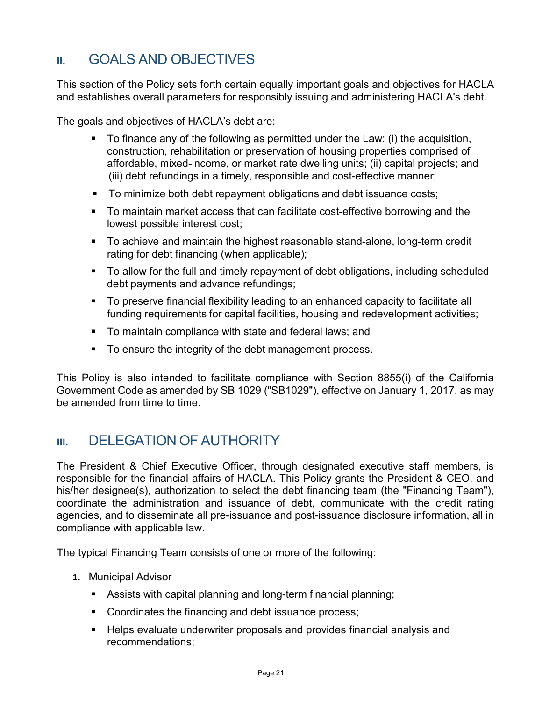## **II.** GOALS AND OBJECTIVES

This section of the Policy sets forth certain equally important goals and objectives for HACLA and establishes overall parameters for responsibly issuing and administering HACLA's debt.

The goals and objectives of HACLA's debt are:

- To finance any of the following as permitted under the Law: (i) the acquisition, construction, rehabilitation or preservation of housing properties comprised of affordable, mixed-income, or market rate dwelling units; (ii) capital projects; and (iii) debt refundings in a timely, responsible and cost-effective manner;
- To minimize both debt repayment obligations and debt issuance costs;
- To maintain market access that can facilitate cost-effective borrowing and the lowest possible interest cost;
- To achieve and maintain the highest reasonable stand-alone, long-term credit rating for debt financing (when applicable);
- To allow for the full and timely repayment of debt obligations, including scheduled debt payments and advance refundings;
- To preserve financial flexibility leading to an enhanced capacity to facilitate all funding requirements for capital facilities, housing and redevelopment activities;
- **To maintain compliance with state and federal laws; and**
- To ensure the integrity of the debt management process.

This Policy is also intended to facilitate compliance with Section 8855(i) of the California Government Code as amended by SB 1029 ("SB1029"), effective on January 1, 2017, as may be amended from time to time.

## **III. DELEGATION OF AUTHORITY**

The President & Chief Executive Officer, through designated executive staff members, is responsible for the financial affairs of HACLA. This Policy grants the President & CEO, and his/her designee(s), authorization to select the debt financing team (the "Financing Team"), coordinate the administration and issuance of debt, communicate with the credit rating agencies, and to disseminate all pre-issuance and post-issuance disclosure information, all in compliance with applicable law.

The typical Financing Team consists of one or more of the following:

- **1.** Municipal Advisor
	- Assists with capital planning and long-term financial planning;
	- **Coordinates the financing and debt issuance process;**
	- Helps evaluate underwriter proposals and provides financial analysis and recommendations;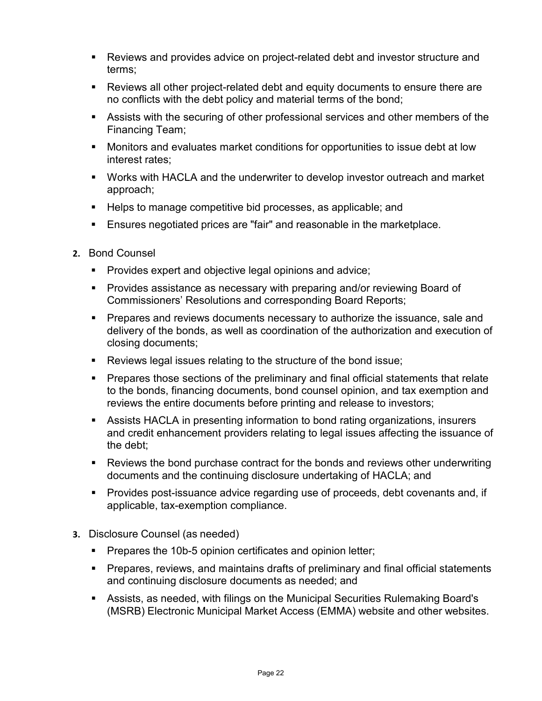- Reviews and provides advice on project-related debt and investor structure and terms;
- Reviews all other project-related debt and equity documents to ensure there are no conflicts with the debt policy and material terms of the bond;
- Assists with the securing of other professional services and other members of the Financing Team;
- Monitors and evaluates market conditions for opportunities to issue debt at low interest rates;
- Works with HACLA and the underwriter to develop investor outreach and market approach;
- Helps to manage competitive bid processes, as applicable; and
- Ensures negotiated prices are "fair" and reasonable in the marketplace.
- **2.** Bond Counsel
	- **Provides expert and objective legal opinions and advice;**
	- **Provides assistance as necessary with preparing and/or reviewing Board of** Commissioners' Resolutions and corresponding Board Reports;
	- **Prepares and reviews documents necessary to authorize the issuance, sale and** delivery of the bonds, as well as coordination of the authorization and execution of closing documents;
	- Reviews legal issues relating to the structure of the bond issue;
	- **Prepares those sections of the preliminary and final official statements that relate** to the bonds, financing documents, bond counsel opinion, and tax exemption and reviews the entire documents before printing and release to investors;
	- Assists HACLA in presenting information to bond rating organizations, insurers and credit enhancement providers relating to legal issues affecting the issuance of the debt;
	- Reviews the bond purchase contract for the bonds and reviews other underwriting documents and the continuing disclosure undertaking of HACLA; and
	- Provides post-issuance advice regarding use of proceeds, debt covenants and, if applicable, tax-exemption compliance.
- **3.** Disclosure Counsel (as needed)
	- **Prepares the 10b-5 opinion certificates and opinion letter;**
	- Prepares, reviews, and maintains drafts of preliminary and final official statements and continuing disclosure documents as needed; and
	- Assists, as needed, with filings on the Municipal Securities Rulemaking Board's (MSRB) Electronic Municipal Market Access (EMMA) website and other websites.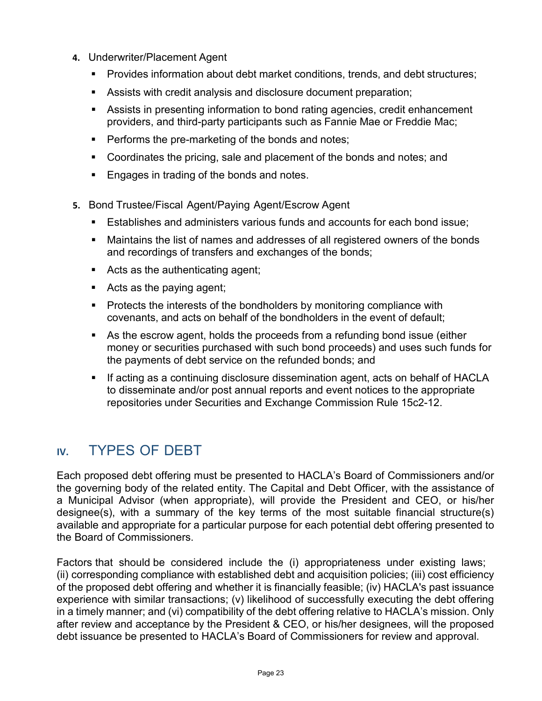- **4.** Underwriter/Placement Agent
	- Provides information about debt market conditions, trends, and debt structures;
	- Assists with credit analysis and disclosure document preparation;
	- Assists in presenting information to bond rating agencies, credit enhancement providers, and third-party participants such as Fannie Mae or Freddie Mac;
	- **Performs the pre-marketing of the bonds and notes;**
	- **Coordinates the pricing, sale and placement of the bonds and notes; and**
	- **Engages in trading of the bonds and notes.**
- **5.** Bond Trustee/Fiscal Agent/Paying Agent/Escrow Agent
	- Establishes and administers various funds and accounts for each bond issue;
	- Maintains the list of names and addresses of all registered owners of the bonds and recordings of transfers and exchanges of the bonds;
	- Acts as the authenticating agent;
	- Acts as the paying agent;
	- **Protects the interests of the bondholders by monitoring compliance with** covenants, and acts on behalf of the bondholders in the event of default;
	- As the escrow agent, holds the proceeds from a refunding bond issue (either money or securities purchased with such bond proceeds) and uses such funds for the payments of debt service on the refunded bonds; and
	- If acting as a continuing disclosure dissemination agent, acts on behalf of HACLA to disseminate and/or post annual reports and event notices to the appropriate repositories under Securities and Exchange Commission Rule 15c2-12.

## **IV.** TYPES OF DEBT

Each proposed debt offering must be presented to HACLA's Board of Commissioners and/or the governing body of the related entity. The Capital and Debt Officer, with the assistance of a Municipal Advisor (when appropriate), will provide the President and CEO, or his/her designee(s), with a summary of the key terms of the most suitable financial structure(s) available and appropriate for a particular purpose for each potential debt offering presented to the Board of Commissioners.

Factors that should be considered include the (i) appropriateness under existing laws; (ii) corresponding compliance with established debt and acquisition policies; (iii) cost efficiency of the proposed debt offering and whether it is financially feasible; (iv) HACLA's past issuance experience with similar transactions; (v) likelihood of successfully executing the debt offering in a timely manner; and (vi) compatibility of the debt offering relative to HACLA's mission. Only after review and acceptance by the President & CEO, or his/her designees, will the proposed debt issuance be presented to HACLA's Board of Commissioners for review and approval.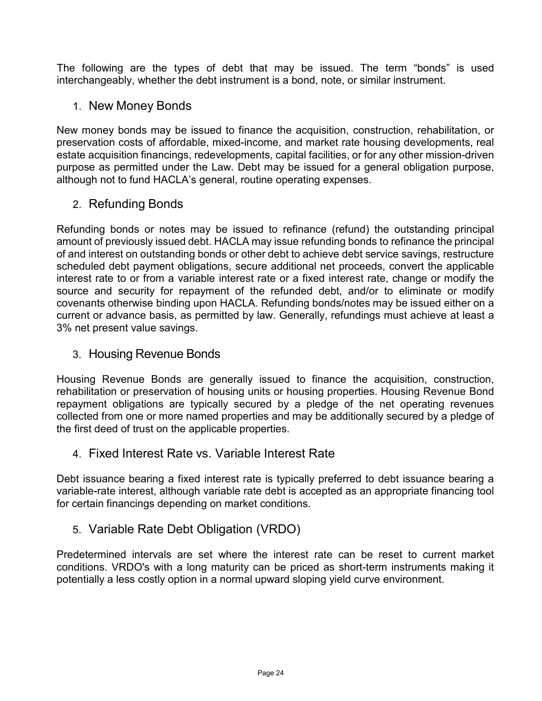The following are the types of debt that may be issued. The term "bonds" is used interchangeably, whether the debt instrument is a bond, note, or similar instrument.

## 1. New Money Bonds

New money bonds may be issued to finance the acquisition, construction, rehabilitation, or preservation costs of affordable, mixed-income, and market rate housing developments, real estate acquisition financings, redevelopments, capital facilities, or for any other mission-driven purpose as permitted under the Law. Debt may be issued for a general obligation purpose, although not to fund HACLA's general, routine operating expenses.

## 2. Refunding Bonds

Refunding bonds or notes may be issued to refinance (refund) the outstanding principal amount of previously issued debt. HACLA may issue refunding bonds to refinance the principal of and interest on outstanding bonds or other debt to achieve debt service savings, restructure scheduled debt payment obligations, secure additional net proceeds, convert the applicable interest rate to or from a variable interest rate or a fixed interest rate, change or modify the source and security for repayment of the refunded debt, and/or to eliminate or modify covenants otherwise binding upon HACLA. Refunding bonds/notes may be issued either on a current or advance basis, as permitted by law. Generally, refundings must achieve at least a 3% net present value savings.

### 3. Housing Revenue Bonds

Housing Revenue Bonds are generally issued to finance the acquisition, construction, rehabilitation or preservation of housing units or housing properties. Housing Revenue Bond repayment obligations are typically secured by a pledge of the net operating revenues collected from one or more named properties and may be additionally secured by a pledge of the first deed of trust on the applicable properties.

### 4. Fixed Interest Rate vs. Variable Interest Rate

Debt issuance bearing a fixed interest rate is typically preferred to debt issuance bearing a variable-rate interest, although variable rate debt is accepted as an appropriate financing tool for certain financings depending on market conditions.

## 5. Variable Rate Debt Obligation (VRDO)

Predetermined intervals are set where the interest rate can be reset to current market conditions. VRDO's with a long maturity can be priced as short-term instruments making it potentially a less costly option in a normal upward sloping yield curve environment.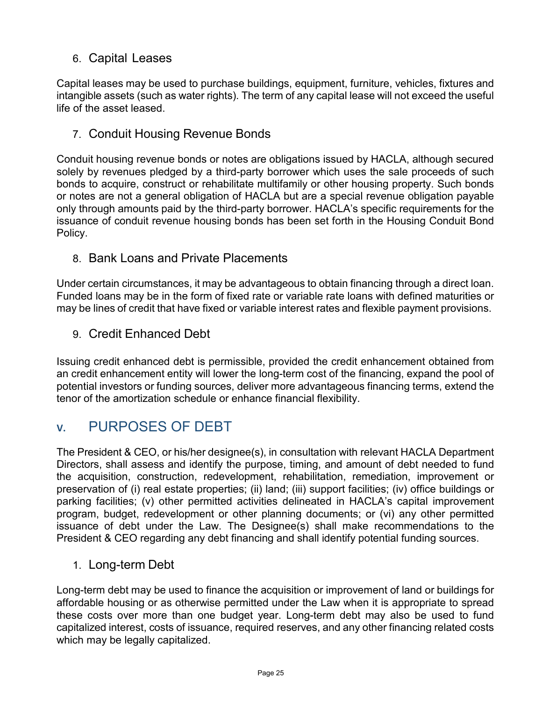## 6. Capital Leases

Capital leases may be used to purchase buildings, equipment, furniture, vehicles, fixtures and intangible assets (such as water rights). The term of any capital lease will not exceed the useful life of the asset leased.

## 7. Conduit Housing Revenue Bonds

Conduit housing revenue bonds or notes are obligations issued by HACLA, although secured solely by revenues pledged by a third-party borrower which uses the sale proceeds of such bonds to acquire, construct or rehabilitate multifamily or other housing property. Such bonds or notes are not a general obligation of HACLA but are a special revenue obligation payable only through amounts paid by the third-party borrower. HACLA's specific requirements for the issuance of conduit revenue housing bonds has been set forth in the Housing Conduit Bond Policy.

## 8. Bank Loans and Private Placements

Under certain circumstances, it may be advantageous to obtain financing through a direct loan. Funded loans may be in the form of fixed rate or variable rate loans with defined maturities or may be lines of credit that have fixed or variable interest rates and flexible payment provisions.

9. Credit Enhanced Debt

Issuing credit enhanced debt is permissible, provided the credit enhancement obtained from an credit enhancement entity will lower the long-term cost of the financing, expand the pool of potential investors or funding sources, deliver more advantageous financing terms, extend the tenor of the amortization schedule or enhance financial flexibility.

## **V.** PURPOSES OF DEBT

The President & CEO, or his/her designee(s), in consultation with relevant HACLA Department Directors, shall assess and identify the purpose, timing, and amount of debt needed to fund the acquisition, construction, redevelopment, rehabilitation, remediation, improvement or preservation of (i) real estate properties; (ii) land; (iii) support facilities; (iv) office buildings or parking facilities; (v) other permitted activities delineated in HACLA's capital improvement program, budget, redevelopment or other planning documents; or (vi) any other permitted issuance of debt under the Law. The Designee(s) shall make recommendations to the President & CEO regarding any debt financing and shall identify potential funding sources.

## 1. Long-term Debt

Long-term debt may be used to finance the acquisition or improvement of land or buildings for affordable housing or as otherwise permitted under the Law when it is appropriate to spread these costs over more than one budget year. Long-term debt may also be used to fund capitalized interest, costs of issuance, required reserves, and any other financing related costs which may be legally capitalized.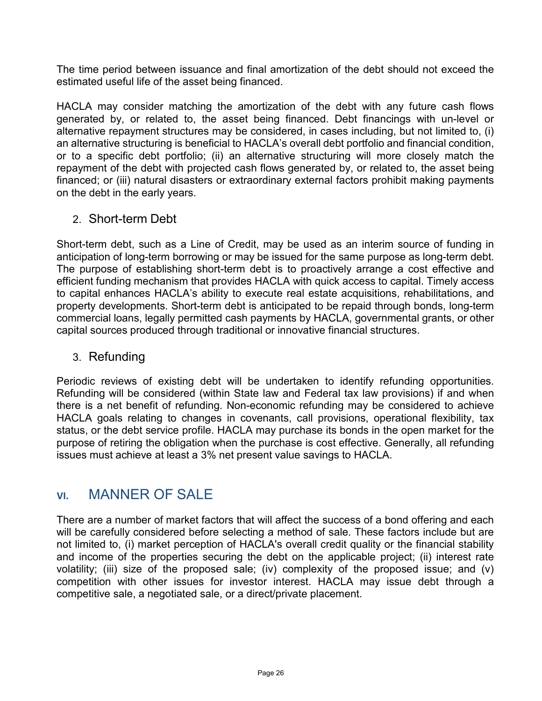The time period between issuance and final amortization of the debt should not exceed the estimated useful life of the asset being financed.

HACLA may consider matching the amortization of the debt with any future cash flows generated by, or related to, the asset being financed. Debt financings with un-level or alternative repayment structures may be considered, in cases including, but not limited to, (i) an alternative structuring is beneficial to HACLA's overall debt portfolio and financial condition, or to a specific debt portfolio; (ii) an alternative structuring will more closely match the repayment of the debt with projected cash flows generated by, or related to, the asset being financed; or (iii) natural disasters or extraordinary external factors prohibit making payments on the debt in the early years.

## 2. Short-term Debt

Short-term debt, such as a Line of Credit, may be used as an interim source of funding in anticipation of long-term borrowing or may be issued for the same purpose as long-term debt. The purpose of establishing short-term debt is to proactively arrange a cost effective and efficient funding mechanism that provides HACLA with quick access to capital. Timely access to capital enhances HACLA's ability to execute real estate acquisitions, rehabilitations, and property developments. Short-term debt is anticipated to be repaid through bonds, long-term commercial loans, legally permitted cash payments by HACLA, governmental grants, or other capital sources produced through traditional or innovative financial structures.

## 3. Refunding

Periodic reviews of existing debt will be undertaken to identify refunding opportunities. Refunding will be considered (within State law and Federal tax law provisions) if and when there is a net benefit of refunding. Non-economic refunding may be considered to achieve HACLA goals relating to changes in covenants, call provisions, operational flexibility, tax status, or the debt service profile. HACLA may purchase its bonds in the open market for the purpose of retiring the obligation when the purchase is cost effective. Generally, all refunding issues must achieve at least a 3% net present value savings to HACLA.

## **VI.** MANNER OF SALE

There are a number of market factors that will affect the success of a bond offering and each will be carefully considered before selecting a method of sale. These factors include but are not limited to, (i) market perception of HACLA's overall credit quality or the financial stability and income of the properties securing the debt on the applicable project; (ii) interest rate volatility; (iii) size of the proposed sale; (iv) complexity of the proposed issue; and (v) competition with other issues for investor interest. HACLA may issue debt through a competitive sale, a negotiated sale, or a direct/private placement.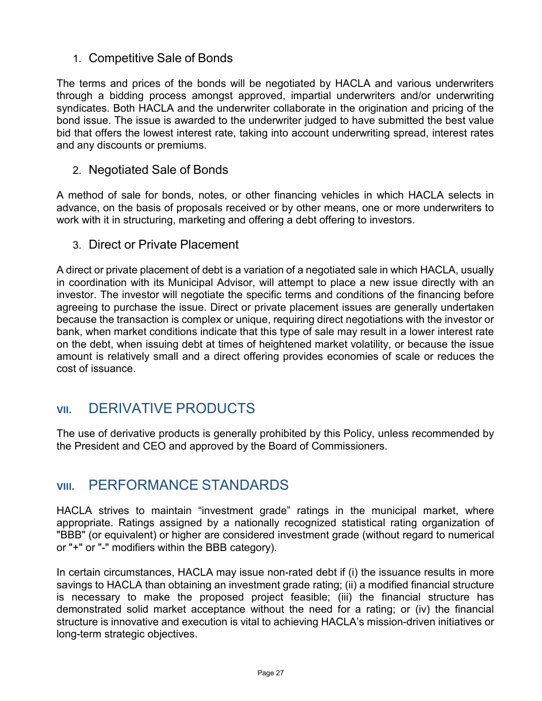## 1. Competitive Sale of Bonds

The terms and prices of the bonds will be negotiated by HACLA and various underwriters through a bidding process amongst approved, impartial underwriters and/or underwriting syndicates. Both HACLA and the underwriter collaborate in the origination and pricing of the bond issue. The issue is awarded to the underwriter judged to have submitted the best value bid that offers the lowest interest rate, taking into account underwriting spread, interest rates and any discounts or premiums.

### 2. Negotiated Sale of Bonds

A method of sale for bonds, notes, or other financing vehicles in which HACLA selects in advance, on the basis of proposals received or by other means, one or more underwriters to work with it in structuring, marketing and offering a debt offering to investors.

### 3. Direct or Private Placement

A direct or private placement of debt is a variation of a negotiated sale in which HACLA, usually in coordination with its Municipal Advisor, will attempt to place a new issue directly with an investor. The investor will negotiate the specific terms and conditions of the financing before agreeing to purchase the issue. Direct or private placement issues are generally undertaken because the transaction is complex or unique, requiring direct negotiations with the investor or bank, when market conditions indicate that this type of sale may result in a lower interest rate on the debt, when issuing debt at times of heightened market volatility, or because the issue amount is relatively small and a direct offering provides economies of scale or reduces the cost of issuance.

## **VII.** DERIVATIVE PRODUCTS

The use of derivative products is generally prohibited by this Policy, unless recommended by the President and CEO and approved by the Board of Commissioners.

## **VIII.** PERFORMANCE STANDARDS

HACLA strives to maintain "investment grade" ratings in the municipal market, where appropriate. Ratings assigned by a nationally recognized statistical rating organization of "BBB" (or equivalent) or higher are considered investment grade (without regard to numerical or "+" or "-" modifiers within the BBB category).

In certain circumstances, HACLA may issue non-rated debt if (i) the issuance results in more savings to HACLA than obtaining an investment grade rating; (ii) a modified financial structure is necessary to make the proposed project feasible; (iii) the financial structure has demonstrated solid market acceptance without the need for a rating; or (iv) the financial structure is innovative and execution is vital to achieving HACLA's mission-driven initiatives or long-term strategic objectives.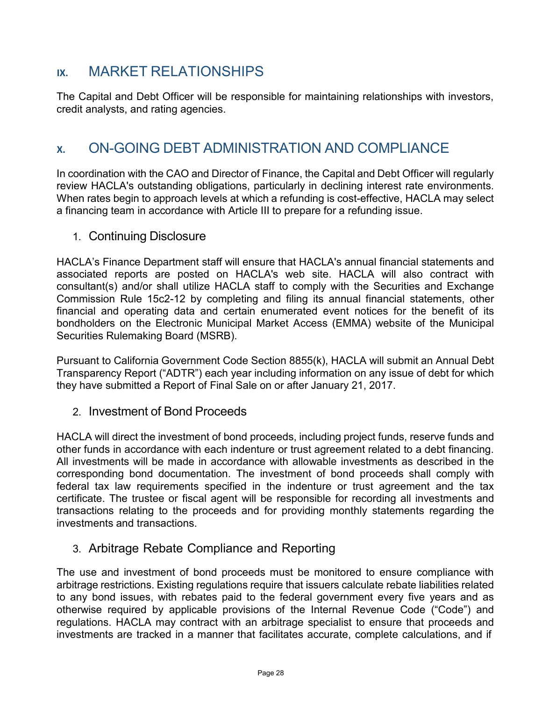## **IX.** MARKET RELATIONSHIPS

The Capital and Debt Officer will be responsible for maintaining relationships with investors, credit analysts, and rating agencies.

## **X.** ON-GOING DEBT ADMINISTRATION AND COMPLIANCE

In coordination with the CAO and Director of Finance, the Capital and Debt Officer will regularly review HACLA's outstanding obligations, particularly in declining interest rate environments. When rates begin to approach levels at which a refunding is cost-effective, HACLA may select a financing team in accordance with Article III to prepare for a refunding issue.

1. Continuing Disclosure

HACLA's Finance Department staff will ensure that HACLA's annual financial statements and associated reports are posted on HACLA's web site. HACLA will also contract with consultant(s) and/or shall utilize HACLA staff to comply with the Securities and Exchange Commission Rule 15c2-12 by completing and filing its annual financial statements, other financial and operating data and certain enumerated event notices for the benefit of its bondholders on the Electronic Municipal Market Access (EMMA) website of the Municipal Securities Rulemaking Board (MSRB).

Pursuant to California Government Code Section 8855(k), HACLA will submit an Annual Debt Transparency Report ("ADTR") each year including information on any issue of debt for which they have submitted a Report of Final Sale on or after January 21, 2017.

2. Investment of Bond Proceeds

HACLA will direct the investment of bond proceeds, including project funds, reserve funds and other funds in accordance with each indenture or trust agreement related to a debt financing. All investments will be made in accordance with allowable investments as described in the corresponding bond documentation. The investment of bond proceeds shall comply with federal tax law requirements specified in the indenture or trust agreement and the tax certificate. The trustee or fiscal agent will be responsible for recording all investments and transactions relating to the proceeds and for providing monthly statements regarding the investments and transactions.

### 3. Arbitrage Rebate Compliance and Reporting

The use and investment of bond proceeds must be monitored to ensure compliance with arbitrage restrictions. Existing regulations require that issuers calculate rebate liabilities related to any bond issues, with rebates paid to the federal government every five years and as otherwise required by applicable provisions of the Internal Revenue Code ("Code") and regulations. HACLA may contract with an arbitrage specialist to ensure that proceeds and investments are tracked in a manner that facilitates accurate, complete calculations, and if